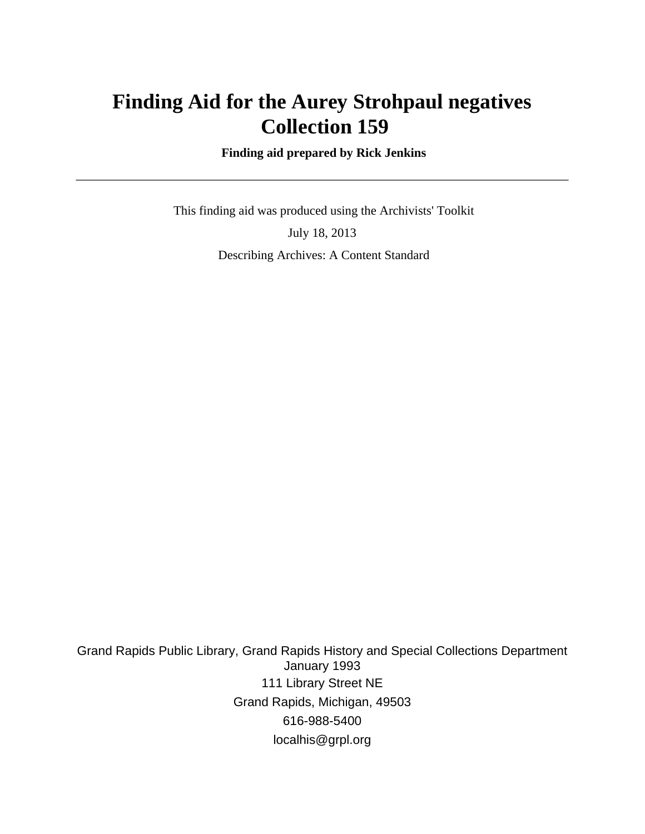# **Finding Aid for the Aurey Strohpaul negatives Collection 159**

 **Finding aid prepared by Rick Jenkins**

 This finding aid was produced using the Archivists' Toolkit July 18, 2013 Describing Archives: A Content Standard

Grand Rapids Public Library, Grand Rapids History and Special Collections Department January 1993 111 Library Street NE Grand Rapids, Michigan, 49503 616-988-5400 localhis@grpl.org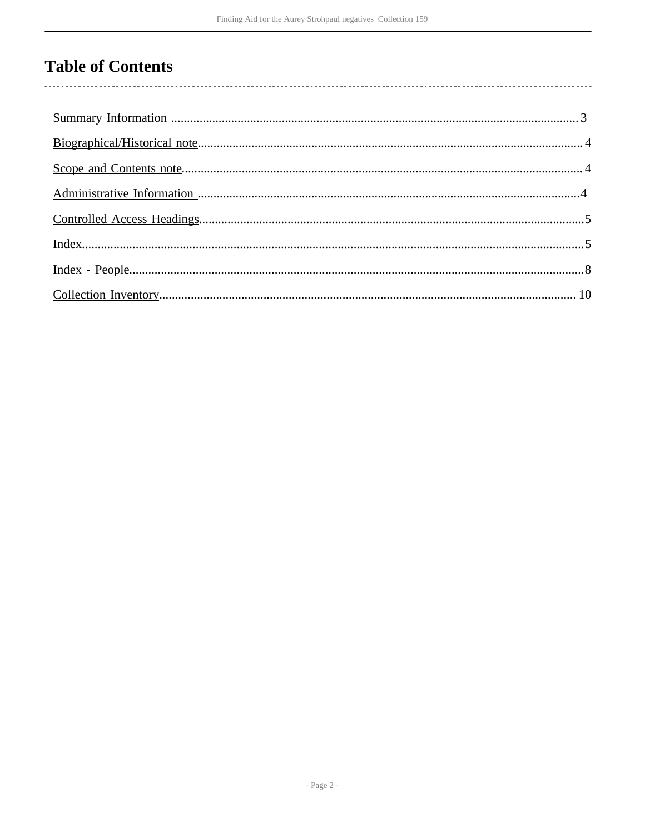# **Table of Contents**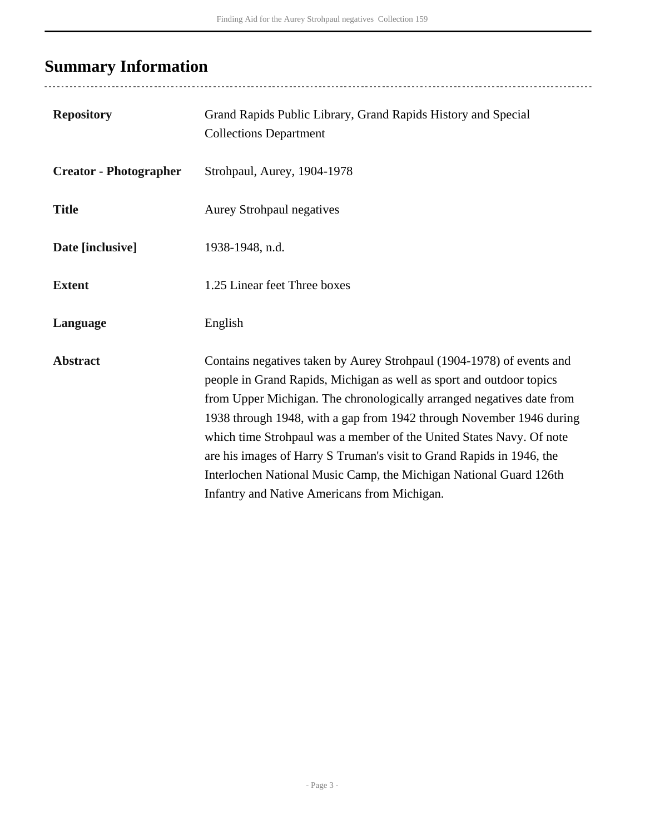# <span id="page-2-0"></span>**Summary Information**

| <b>Repository</b>             | Grand Rapids Public Library, Grand Rapids History and Special<br><b>Collections Department</b>                                                                                                                                                                                                                                                                                                                                                                                                                                                                        |
|-------------------------------|-----------------------------------------------------------------------------------------------------------------------------------------------------------------------------------------------------------------------------------------------------------------------------------------------------------------------------------------------------------------------------------------------------------------------------------------------------------------------------------------------------------------------------------------------------------------------|
| <b>Creator - Photographer</b> | Strohpaul, Aurey, 1904-1978                                                                                                                                                                                                                                                                                                                                                                                                                                                                                                                                           |
| <b>Title</b>                  | Aurey Strohpaul negatives                                                                                                                                                                                                                                                                                                                                                                                                                                                                                                                                             |
| Date [inclusive]              | 1938-1948, n.d.                                                                                                                                                                                                                                                                                                                                                                                                                                                                                                                                                       |
| <b>Extent</b>                 | 1.25 Linear feet Three boxes                                                                                                                                                                                                                                                                                                                                                                                                                                                                                                                                          |
| Language                      | English                                                                                                                                                                                                                                                                                                                                                                                                                                                                                                                                                               |
| <b>Abstract</b>               | Contains negatives taken by Aurey Strohpaul (1904-1978) of events and<br>people in Grand Rapids, Michigan as well as sport and outdoor topics<br>from Upper Michigan. The chronologically arranged negatives date from<br>1938 through 1948, with a gap from 1942 through November 1946 during<br>which time Strohpaul was a member of the United States Navy. Of note<br>are his images of Harry S Truman's visit to Grand Rapids in 1946, the<br>Interlochen National Music Camp, the Michigan National Guard 126th<br>Infantry and Native Americans from Michigan. |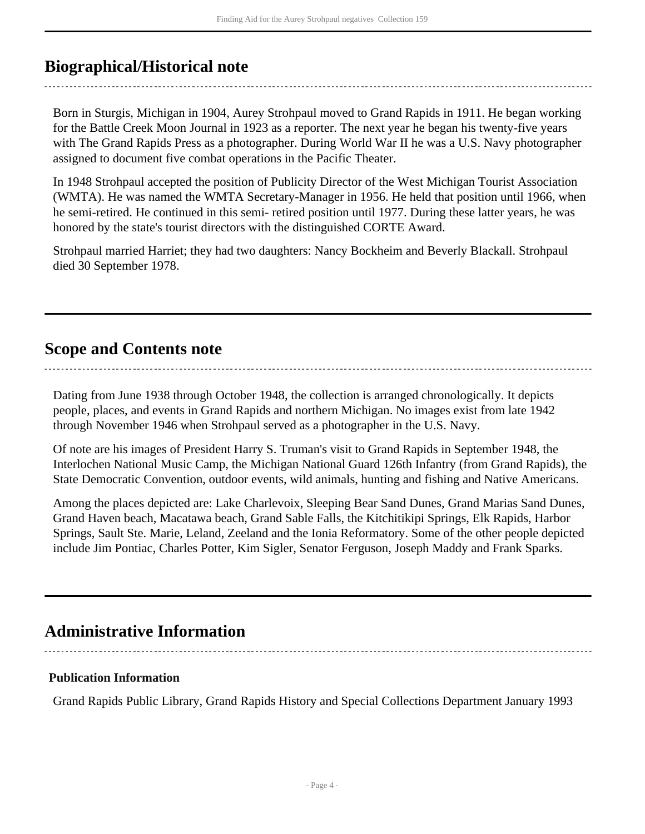## <span id="page-3-0"></span>**Biographical/Historical note**

Born in Sturgis, Michigan in 1904, Aurey Strohpaul moved to Grand Rapids in 1911. He began working for the Battle Creek Moon Journal in 1923 as a reporter. The next year he began his twenty-five years with The Grand Rapids Press as a photographer. During World War II he was a U.S. Navy photographer assigned to document five combat operations in the Pacific Theater.

In 1948 Strohpaul accepted the position of Publicity Director of the West Michigan Tourist Association (WMTA). He was named the WMTA Secretary-Manager in 1956. He held that position until 1966, when he semi-retired. He continued in this semi- retired position until 1977. During these latter years, he was honored by the state's tourist directors with the distinguished CORTE Award.

Strohpaul married Harriet; they had two daughters: Nancy Bockheim and Beverly Blackall. Strohpaul died 30 September 1978.

### <span id="page-3-1"></span>**Scope and Contents note**

Dating from June 1938 through October 1948, the collection is arranged chronologically. It depicts people, places, and events in Grand Rapids and northern Michigan. No images exist from late 1942 through November 1946 when Strohpaul served as a photographer in the U.S. Navy.

Of note are his images of President Harry S. Truman's visit to Grand Rapids in September 1948, the Interlochen National Music Camp, the Michigan National Guard 126th Infantry (from Grand Rapids), the State Democratic Convention, outdoor events, wild animals, hunting and fishing and Native Americans.

Among the places depicted are: Lake Charlevoix, Sleeping Bear Sand Dunes, Grand Marias Sand Dunes, Grand Haven beach, Macatawa beach, Grand Sable Falls, the Kitchitikipi Springs, Elk Rapids, Harbor Springs, Sault Ste. Marie, Leland, Zeeland and the Ionia Reformatory. Some of the other people depicted include Jim Pontiac, Charles Potter, Kim Sigler, Senator Ferguson, Joseph Maddy and Frank Sparks.

### <span id="page-3-2"></span>**Administrative Information**

### **Publication Information**

Grand Rapids Public Library, Grand Rapids History and Special Collections Department January 1993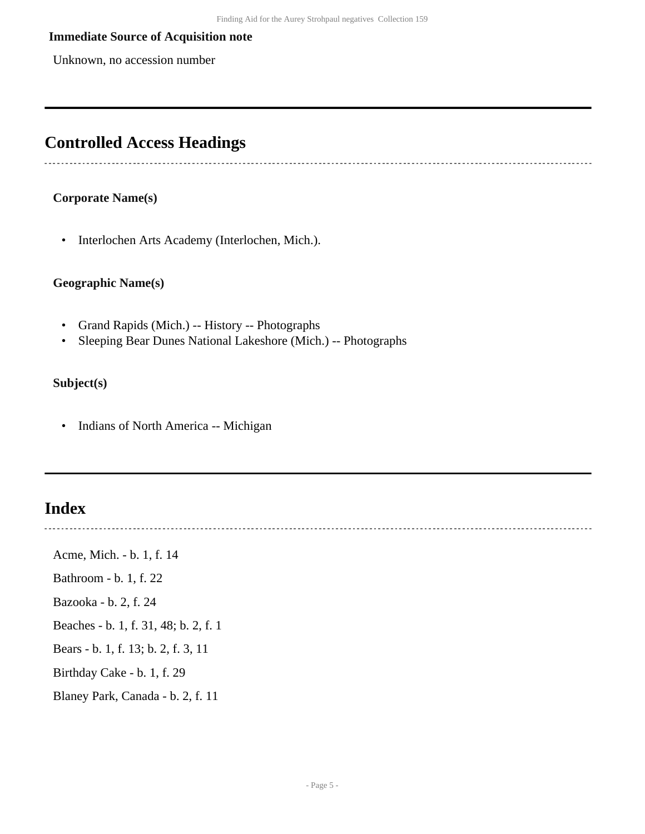#### **Immediate Source of Acquisition note**

Unknown, no accession number

### <span id="page-4-0"></span>**Controlled Access Headings**

#### **Corporate Name(s)**

• Interlochen Arts Academy (Interlochen, Mich.).

#### **Geographic Name(s)**

- Grand Rapids (Mich.) -- History -- Photographs
- Sleeping Bear Dunes National Lakeshore (Mich.) -- Photographs

#### **Subject(s)**

• Indians of North America -- Michigan

## <span id="page-4-1"></span>**Index**

Acme, Mich. - b. 1, f. 14

- Bathroom b. 1, f. 22
- Bazooka b. 2, f. 24
- Beaches b. 1, f. 31, 48; b. 2, f. 1
- Bears b. 1, f. 13; b. 2, f. 3, 11
- Birthday Cake b. 1, f. 29
- Blaney Park, Canada b. 2, f. 11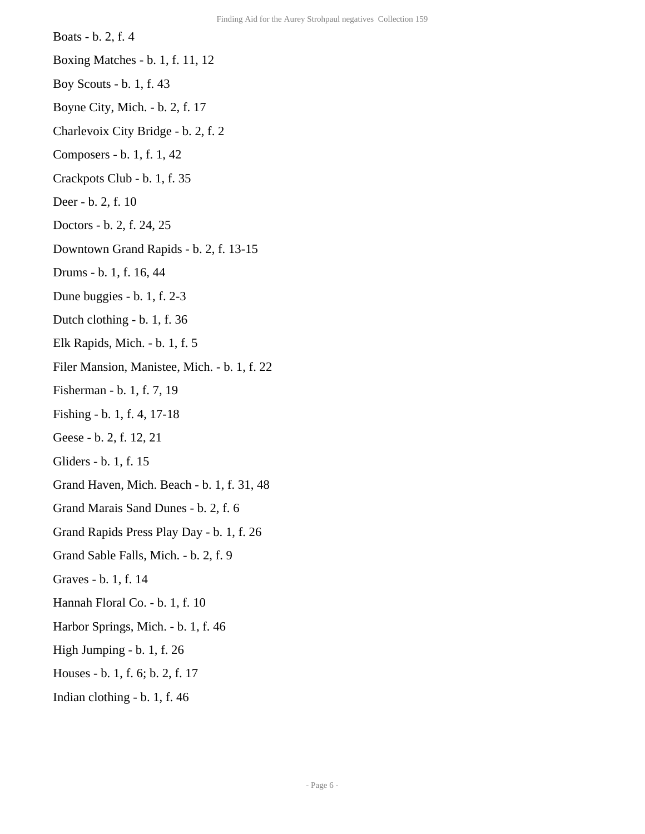Boats - b. 2, f. 4 Boxing Matches - b. 1, f. 11, 12 Boy Scouts - b. 1, f. 43 Boyne City, Mich. - b. 2, f. 17 Charlevoix City Bridge - b. 2, f. 2 Composers - b. 1, f. 1, 42 Crackpots Club - b. 1, f. 35 Deer - b. 2, f. 10 Doctors - b. 2, f. 24, 25 Downtown Grand Rapids - b. 2, f. 13-15 Drums - b. 1, f. 16, 44 Dune buggies - b. 1, f. 2-3 Dutch clothing - b. 1, f. 36 Elk Rapids, Mich. - b. 1, f. 5 Filer Mansion, Manistee, Mich. - b. 1, f. 22 Fisherman - b. 1, f. 7, 19 Fishing - b. 1, f. 4, 17-18 Geese - b. 2, f. 12, 21 Gliders - b. 1, f. 15 Grand Haven, Mich. Beach - b. 1, f. 31, 48 Grand Marais Sand Dunes - b. 2, f. 6 Grand Rapids Press Play Day - b. 1, f. 26 Grand Sable Falls, Mich. - b. 2, f. 9 Graves - b. 1, f. 14

- Hannah Floral Co. b. 1, f. 10
- Harbor Springs, Mich. b. 1, f. 46
- High Jumping b. 1, f. 26
- Houses b. 1, f. 6; b. 2, f. 17
- Indian clothing b. 1, f. 46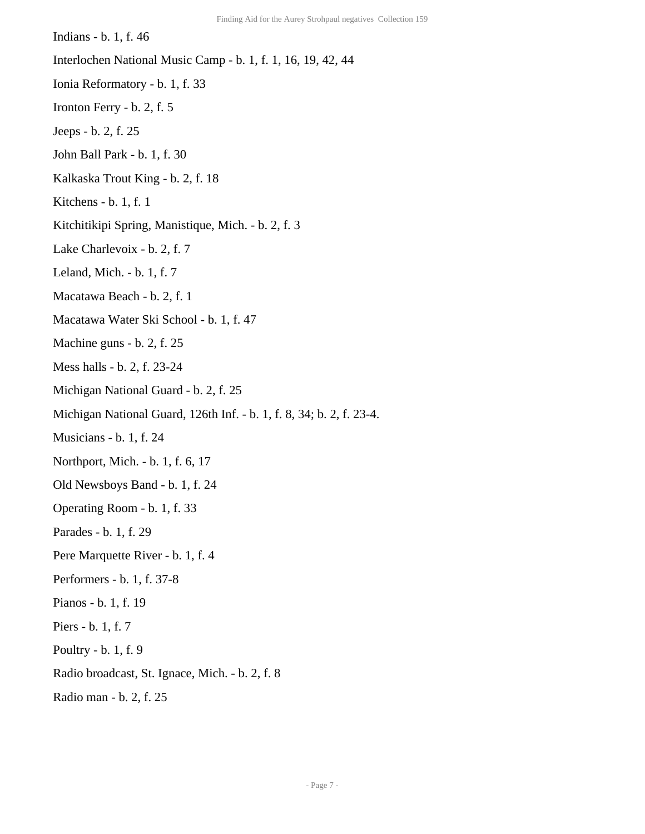Indians - b. 1, f. 46 Interlochen National Music Camp - b. 1, f. 1, 16, 19, 42, 44 Ionia Reformatory - b. 1, f. 33 Ironton Ferry - b. 2, f. 5 Jeeps - b. 2, f. 25 John Ball Park - b. 1, f. 30 Kalkaska Trout King - b. 2, f. 18 Kitchens - b. 1, f. 1 Kitchitikipi Spring, Manistique, Mich. - b. 2, f. 3 Lake Charlevoix - b. 2, f. 7 Leland, Mich. - b. 1, f. 7 Macatawa Beach - b. 2, f. 1 Macatawa Water Ski School - b. 1, f. 47 Machine guns - b. 2, f. 25 Mess halls - b. 2, f. 23-24 Michigan National Guard - b. 2, f. 25 Michigan National Guard, 126th Inf. - b. 1, f. 8, 34; b. 2, f. 23-4. Musicians - b. 1, f. 24 Northport, Mich. - b. 1, f. 6, 17 Old Newsboys Band - b. 1, f. 24 Operating Room - b. 1, f. 33 Parades - b. 1, f. 29 Pere Marquette River - b. 1, f. 4 Performers - b. 1, f. 37-8 Pianos - b. 1, f. 19 Piers - b. 1, f. 7 Poultry - b. 1, f. 9 Radio broadcast, St. Ignace, Mich. - b. 2, f. 8 Radio man - b. 2, f. 25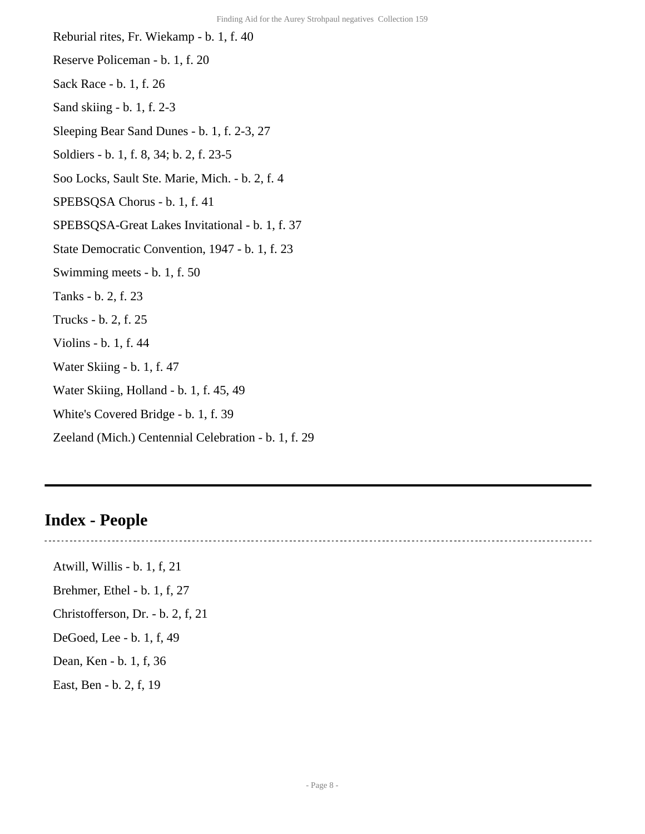- Reburial rites, Fr. Wiekamp b. 1, f. 40
- Reserve Policeman b. 1, f. 20
- Sack Race b. 1, f. 26
- Sand skiing b. 1, f. 2-3
- Sleeping Bear Sand Dunes b. 1, f. 2-3, 27
- Soldiers b. 1, f. 8, 34; b. 2, f. 23-5
- Soo Locks, Sault Ste. Marie, Mich. b. 2, f. 4
- SPEBSQSA Chorus b. 1, f. 41
- SPEBSQSA-Great Lakes Invitational b. 1, f. 37
- State Democratic Convention, 1947 b. 1, f. 23
- Swimming meets b. 1, f. 50
- Tanks b. 2, f. 23
- Trucks b. 2, f. 25
- Violins b. 1, f. 44
- Water Skiing b. 1, f. 47
- Water Skiing, Holland b. 1, f. 45, 49
- White's Covered Bridge b. 1, f. 39
- Zeeland (Mich.) Centennial Celebration b. 1, f. 29

### <span id="page-7-0"></span>**Index - People**

- Atwill, Willis b. 1, f, 21
- Brehmer, Ethel b. 1, f, 27
- Christofferson, Dr. b. 2, f, 21
- DeGoed, Lee b. 1, f, 49
- Dean, Ken b. 1, f, 36
- East, Ben b. 2, f, 19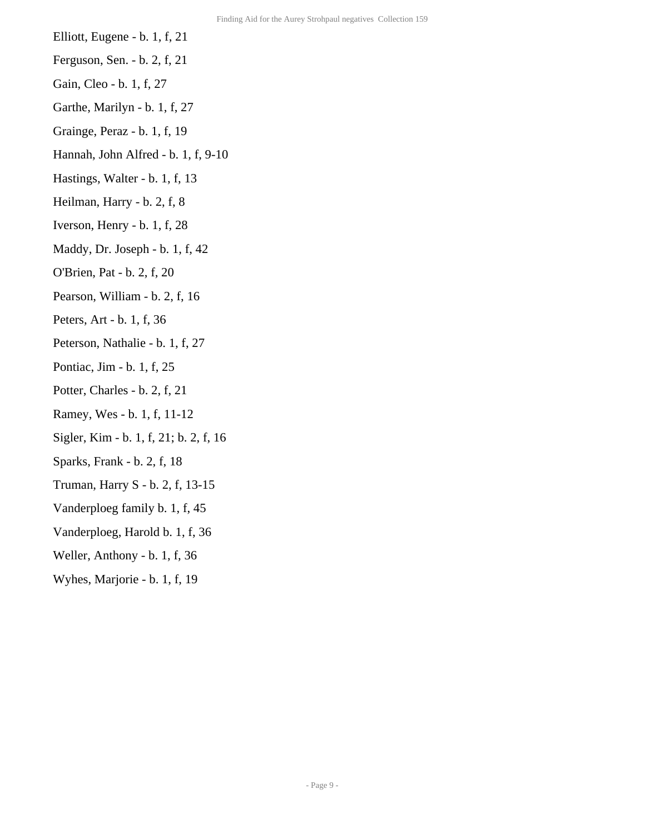- Elliott, Eugene b. 1, f, 21
- Ferguson, Sen. b. 2, f, 21
- Gain, Cleo b. 1, f, 27
- Garthe, Marilyn b. 1, f, 27
- Grainge, Peraz b. 1, f, 19
- Hannah, John Alfred b. 1, f, 9-10
- Hastings, Walter b. 1, f, 13
- Heilman, Harry b. 2, f, 8
- Iverson, Henry b. 1, f, 28
- Maddy, Dr. Joseph b. 1, f, 42
- O'Brien, Pat b. 2, f, 20
- Pearson, William b. 2, f, 16
- Peters, Art b. 1, f, 36
- Peterson, Nathalie b. 1, f, 27
- Pontiac, Jim b. 1, f, 25
- Potter, Charles b. 2, f, 21
- Ramey, Wes b. 1, f, 11-12
- Sigler, Kim b. 1, f, 21; b. 2, f, 16
- Sparks, Frank b. 2, f, 18
- Truman, Harry S b. 2, f, 13-15
- Vanderploeg family b. 1, f, 45
- Vanderploeg, Harold b. 1, f, 36
- Weller, Anthony b. 1, f, 36
- Wyhes, Marjorie b. 1, f, 19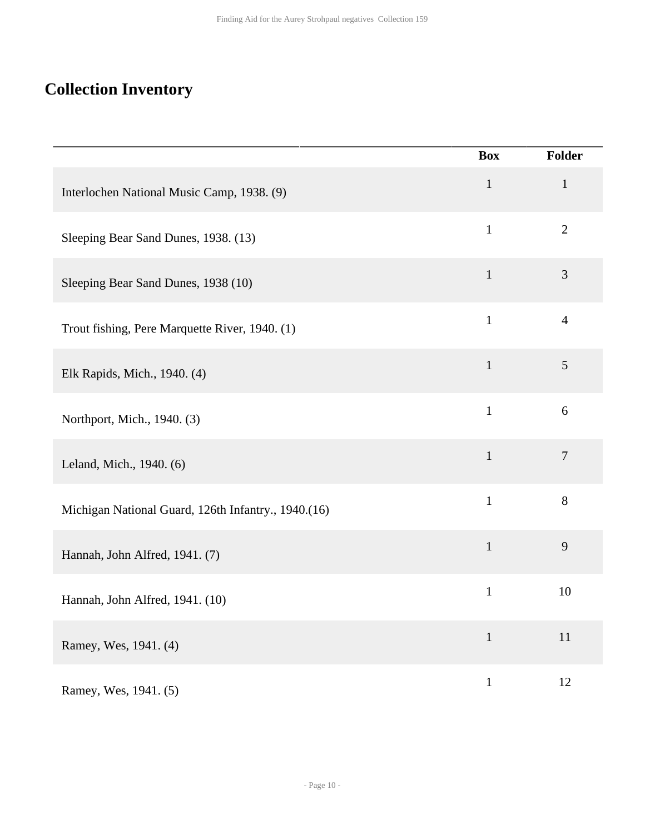## <span id="page-9-0"></span>**Collection Inventory**

|                                                     | <b>Box</b>   | Folder         |
|-----------------------------------------------------|--------------|----------------|
| Interlochen National Music Camp, 1938. (9)          | $\mathbf{1}$ | $\mathbf{1}$   |
| Sleeping Bear Sand Dunes, 1938. (13)                | $\mathbf{1}$ | $\overline{2}$ |
| Sleeping Bear Sand Dunes, 1938 (10)                 | $\mathbf{1}$ | 3              |
| Trout fishing, Pere Marquette River, 1940. (1)      | $\mathbf{1}$ | $\overline{4}$ |
| Elk Rapids, Mich., 1940. (4)                        | $\mathbf{1}$ | $\mathfrak{S}$ |
| Northport, Mich., 1940. (3)                         | $\mathbf{1}$ | 6              |
| Leland, Mich., 1940. (6)                            | $\mathbf{1}$ | $\overline{7}$ |
| Michigan National Guard, 126th Infantry., 1940.(16) | $\mathbf{1}$ | 8              |
| Hannah, John Alfred, 1941. (7)                      | $\mathbf{1}$ | 9              |
| Hannah, John Alfred, 1941. (10)                     | $\mathbf{1}$ | 10             |
| Ramey, Wes, 1941. (4)                               | $\mathbf{1}$ | 11             |
| Ramey, Wes, 1941. (5)                               | $\mathbf{1}$ | 12             |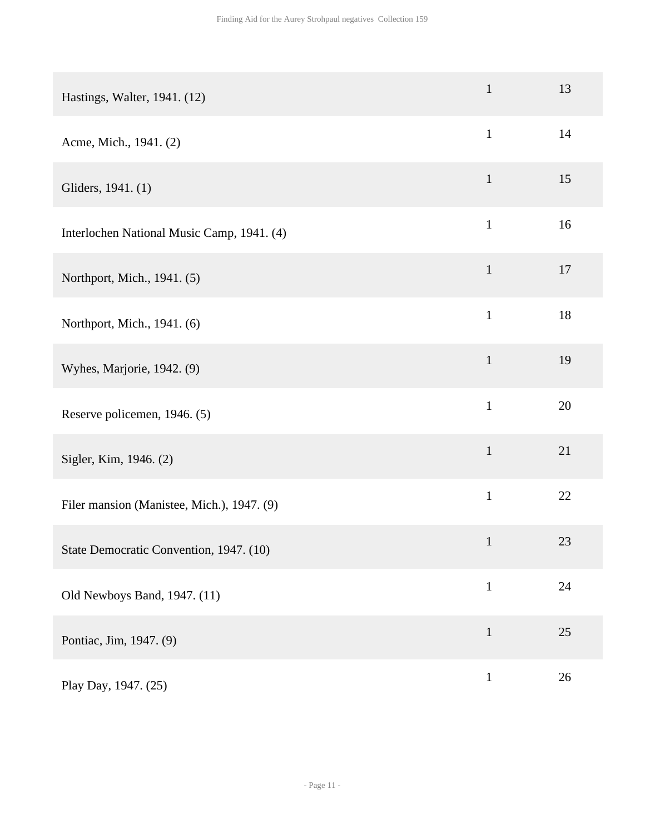| Hastings, Walter, 1941. (12)               | $\mathbf 1$  | 13 |
|--------------------------------------------|--------------|----|
| Acme, Mich., 1941. (2)                     | $\mathbf{1}$ | 14 |
| Gliders, 1941. (1)                         | $\mathbf{1}$ | 15 |
| Interlochen National Music Camp, 1941. (4) | $\mathbf{1}$ | 16 |
| Northport, Mich., 1941. (5)                | $\mathbf{1}$ | 17 |
| Northport, Mich., 1941. (6)                | $\mathbf{1}$ | 18 |
| Wyhes, Marjorie, 1942. (9)                 | $\mathbf 1$  | 19 |
| Reserve policemen, 1946. (5)               | $\mathbf{1}$ | 20 |
| Sigler, Kim, 1946. (2)                     | $\mathbf{1}$ | 21 |
| Filer mansion (Manistee, Mich.), 1947. (9) | $\mathbf{1}$ | 22 |
| State Democratic Convention, 1947. (10)    | $\mathbf{1}$ | 23 |
| Old Newboys Band, 1947. (11)               | $\mathbf{1}$ | 24 |
| Pontiac, Jim, 1947. (9)                    | $\mathbf 1$  | 25 |
| Play Day, 1947. (25)                       | $\mathbf{1}$ | 26 |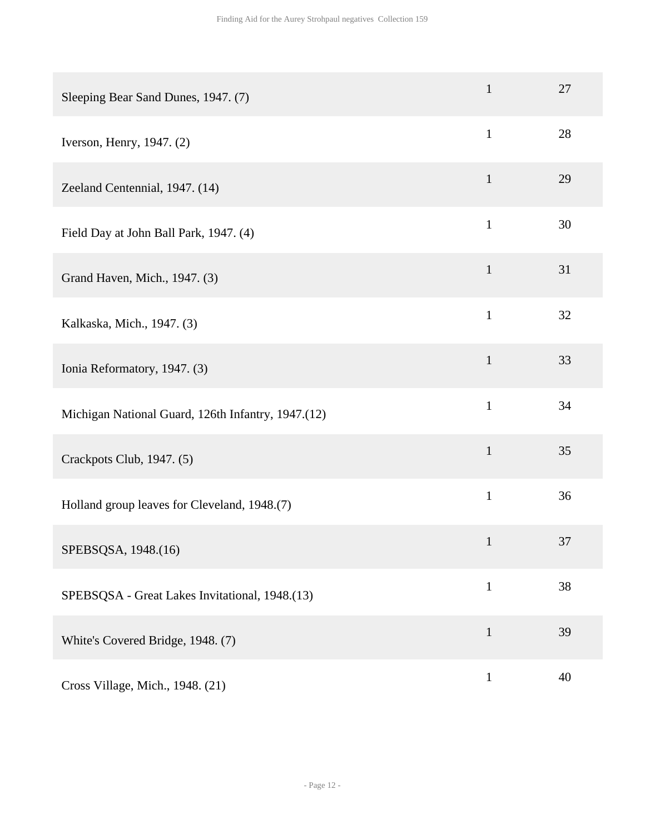| Sleeping Bear Sand Dunes, 1947. (7)                | $\mathbf{1}$ | 27 |
|----------------------------------------------------|--------------|----|
| Iverson, Henry, 1947. (2)                          | $\mathbf{1}$ | 28 |
| Zeeland Centennial, 1947. (14)                     | $\mathbf{1}$ | 29 |
| Field Day at John Ball Park, 1947. (4)             | $\mathbf{1}$ | 30 |
| Grand Haven, Mich., 1947. (3)                      | $\mathbf{1}$ | 31 |
| Kalkaska, Mich., 1947. (3)                         | $\mathbf{1}$ | 32 |
| Ionia Reformatory, 1947. (3)                       | $\mathbf{1}$ | 33 |
| Michigan National Guard, 126th Infantry, 1947.(12) | $\mathbf{1}$ | 34 |
| Crackpots Club, 1947. (5)                          | $\mathbf{1}$ | 35 |
| Holland group leaves for Cleveland, 1948.(7)       | $\mathbf{1}$ | 36 |
| SPEBSQSA, 1948.(16)                                | $\mathbf{1}$ | 37 |
| SPEBSQSA - Great Lakes Invitational, 1948.(13)     | $\mathbf{1}$ | 38 |
| White's Covered Bridge, 1948. (7)                  | $\mathbf{1}$ | 39 |
| Cross Village, Mich., 1948. (21)                   | $\mathbf{1}$ | 40 |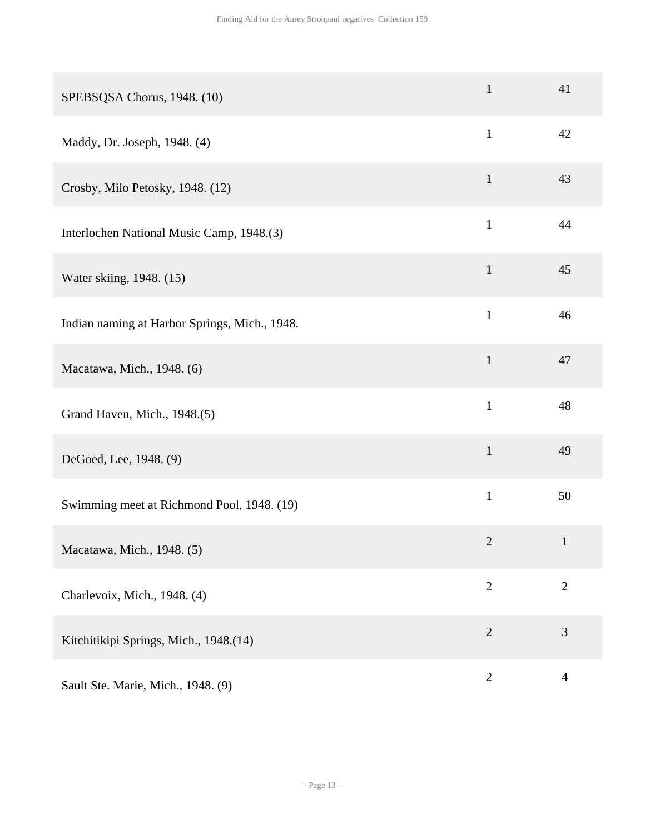| SPEBSQSA Chorus, 1948. (10)                   | $\mathbf{1}$   | 41             |
|-----------------------------------------------|----------------|----------------|
| Maddy, Dr. Joseph, 1948. (4)                  | $\mathbf{1}$   | 42             |
| Crosby, Milo Petosky, 1948. (12)              | $\mathbf{1}$   | 43             |
| Interlochen National Music Camp, 1948.(3)     | $\mathbf{1}$   | 44             |
| Water skiing, 1948. (15)                      | $\mathbf{1}$   | 45             |
| Indian naming at Harbor Springs, Mich., 1948. | $\mathbf{1}$   | 46             |
| Macatawa, Mich., 1948. (6)                    | $\mathbf{1}$   | 47             |
| Grand Haven, Mich., 1948.(5)                  | $\mathbf{1}$   | 48             |
| DeGoed, Lee, 1948. (9)                        | $\mathbf{1}$   | 49             |
| Swimming meet at Richmond Pool, 1948. (19)    | $\mathbf{1}$   | 50             |
| Macatawa, Mich., 1948. (5)                    | $\overline{2}$ | $\mathbf{1}$   |
| Charlevoix, Mich., 1948. (4)                  | $\overline{2}$ | $\overline{2}$ |
| Kitchitikipi Springs, Mich., 1948.(14)        | $\overline{2}$ | 3              |
| Sault Ste. Marie, Mich., 1948. (9)            | $\mathbf{2}$   | $\overline{4}$ |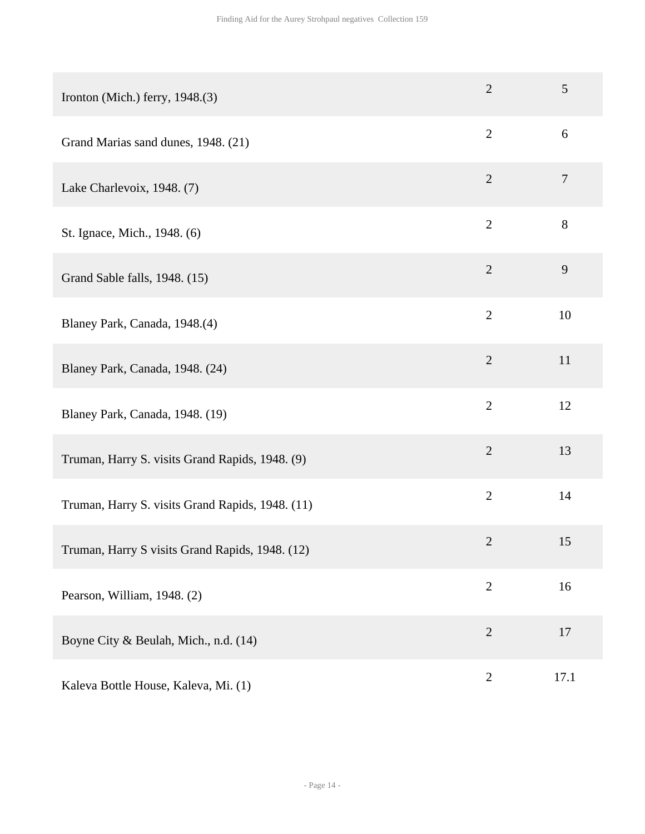| Ironton (Mich.) ferry, 1948.(3)                  | $\overline{2}$ | $\overline{5}$ |
|--------------------------------------------------|----------------|----------------|
| Grand Marias sand dunes, 1948. (21)              | $\overline{2}$ | $\sqrt{6}$     |
| Lake Charlevoix, 1948. (7)                       | $\overline{2}$ | $\tau$         |
| St. Ignace, Mich., 1948. (6)                     | $\overline{2}$ | $8\,$          |
| Grand Sable falls, 1948. (15)                    | $\overline{2}$ | 9              |
| Blaney Park, Canada, 1948.(4)                    | $\overline{2}$ | 10             |
| Blaney Park, Canada, 1948. (24)                  | $\overline{2}$ | 11             |
| Blaney Park, Canada, 1948. (19)                  | $\overline{2}$ | 12             |
| Truman, Harry S. visits Grand Rapids, 1948. (9)  | $\overline{2}$ | 13             |
| Truman, Harry S. visits Grand Rapids, 1948. (11) | $\overline{2}$ | 14             |
| Truman, Harry S visits Grand Rapids, 1948. (12)  | $\sqrt{2}$     | 15             |
| Pearson, William, 1948. (2)                      | $\overline{2}$ | 16             |
| Boyne City & Beulah, Mich., n.d. (14)            | $\overline{2}$ | 17             |
| Kaleva Bottle House, Kaleva, Mi. (1)             | $\overline{2}$ | 17.1           |